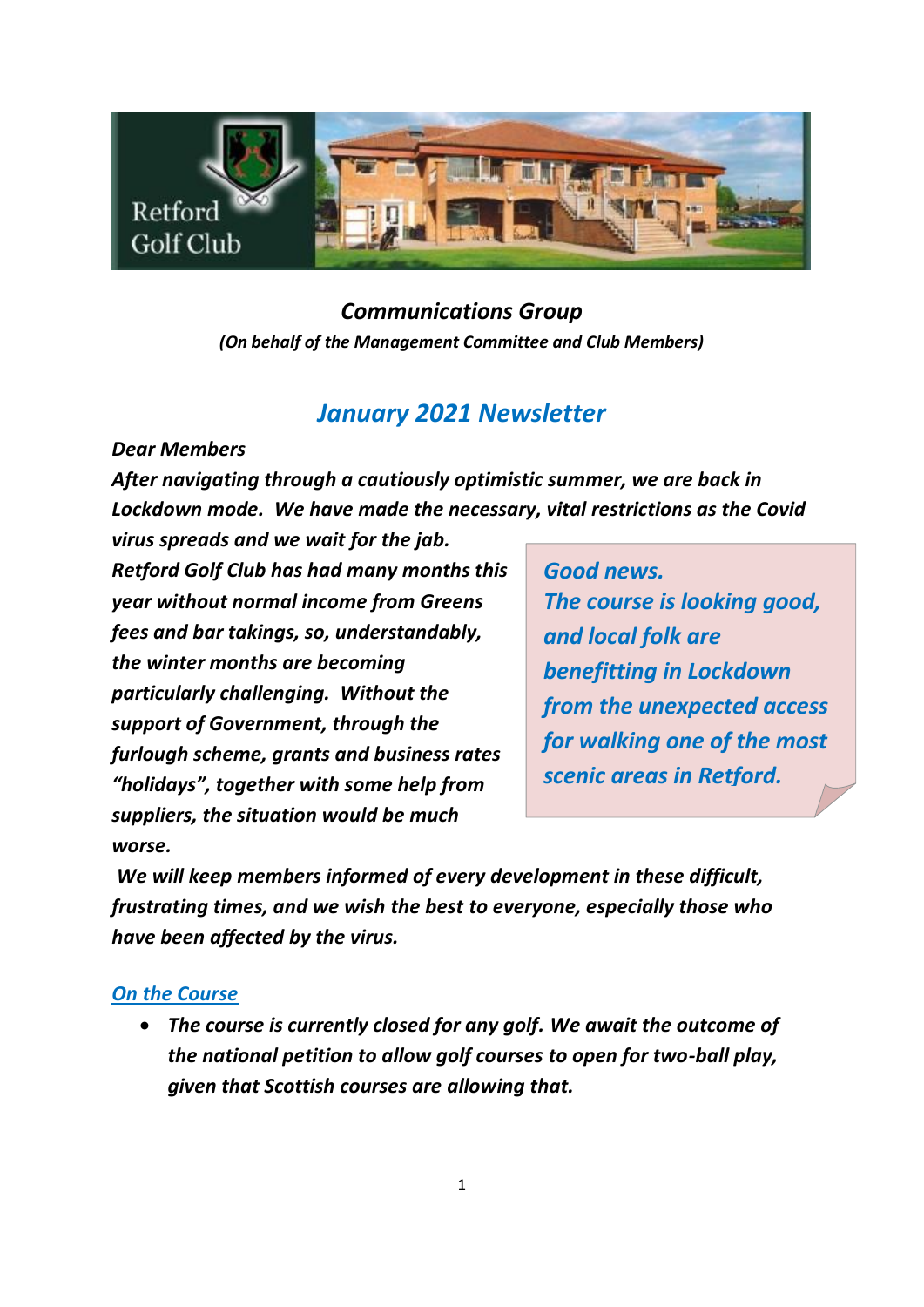

## *Communications Group (On behalf of the Management Committee and Club Members)*

# *January 2021 Newsletter*

*Dear Members*

*After navigating through a cautiously optimistic summer, we are back in Lockdown mode. We have made the necessary, vital restrictions as the Covid*

*virus spreads and we wait for the jab. Retford Golf Club has had many months this year without normal income from Greens fees and bar takings, so, understandably, the winter months are becoming particularly challenging. Without the support of Government, through the furlough scheme, grants and business rates "holidays", together with some help from suppliers, the situation would be much worse.*

*Good news. The course is looking good, and local folk are benefitting in Lockdown from the unexpected access for walking one of the most scenic areas in Retford.*

*We will keep members informed of every development in these difficult, frustrating times, and we wish the best to everyone, especially those who have been affected by the virus.*

### *On the Course*

• *The course is currently closed for any golf. We await the outcome of the national petition to allow golf courses to open for two-ball play, given that Scottish courses are allowing that.*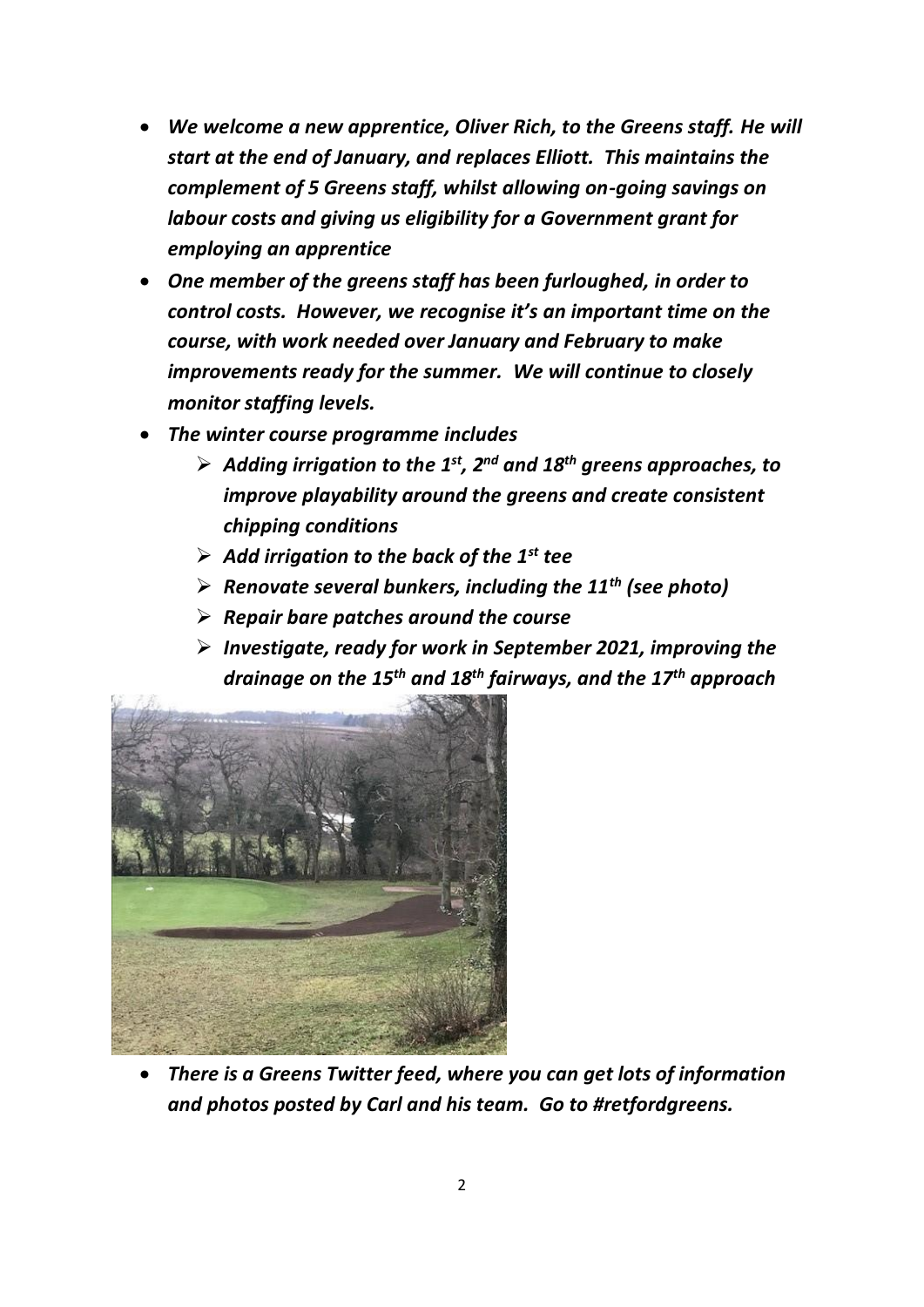- *We welcome a new apprentice, Oliver Rich, to the Greens staff. He will start at the end of January, and replaces Elliott. This maintains the complement of 5 Greens staff, whilst allowing on-going savings on labour costs and giving us eligibility for a Government grant for employing an apprentice*
- *One member of the greens staff has been furloughed, in order to control costs. However, we recognise it's an important time on the course, with work needed over January and February to make improvements ready for the summer. We will continue to closely monitor staffing levels.*
- *The winter course programme includes*
	- ➢ *Adding irrigation to the 1st, 2nd and 18th greens approaches, to improve playability around the greens and create consistent chipping conditions*
	- ➢ *Add irrigation to the back of the 1st tee*
	- ➢ *Renovate several bunkers, including the 11th (see photo)*
	- ➢ *Repair bare patches around the course*
	- ➢ *Investigate, ready for work in September 2021, improving the drainage on the 15th and 18th fairways, and the 17th approach*



• *There is a Greens Twitter feed, where you can get lots of information and photos posted by Carl and his team. Go to #retfordgreens.*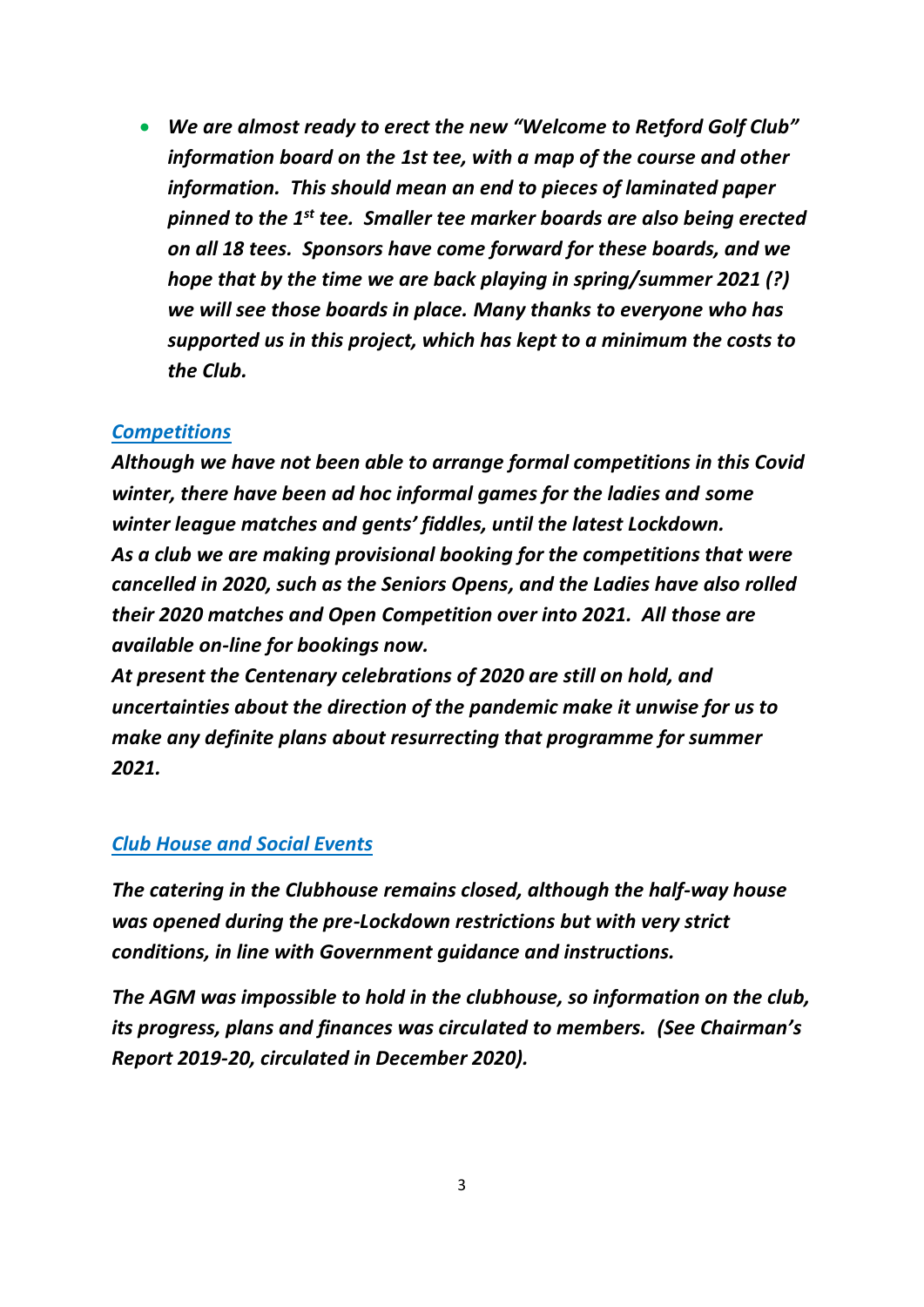• *We are almost ready to erect the new "Welcome to Retford Golf Club" information board on the 1st tee, with a map of the course and other information. This should mean an end to pieces of laminated paper pinned to the 1st tee. Smaller tee marker boards are also being erected on all 18 tees. Sponsors have come forward for these boards, and we hope that by the time we are back playing in spring/summer 2021 (?) we will see those boards in place. Many thanks to everyone who has supported us in this project, which has kept to a minimum the costs to the Club.*

### *Competitions*

*Although we have not been able to arrange formal competitions in this Covid winter, there have been ad hoc informal games for the ladies and some winter league matches and gents' fiddles, until the latest Lockdown. As a club we are making provisional booking for the competitions that were cancelled in 2020, such as the Seniors Opens, and the Ladies have also rolled their 2020 matches and Open Competition over into 2021. All those are available on-line for bookings now.*

*At present the Centenary celebrations of 2020 are still on hold, and uncertainties about the direction of the pandemic make it unwise for us to make any definite plans about resurrecting that programme for summer 2021.*

#### *Club House and Social Events*

*The catering in the Clubhouse remains closed, although the half-way house was opened during the pre-Lockdown restrictions but with very strict conditions, in line with Government guidance and instructions.* 

*The AGM was impossible to hold in the clubhouse, so information on the club, its progress, plans and finances was circulated to members. (See Chairman's Report 2019-20, circulated in December 2020).*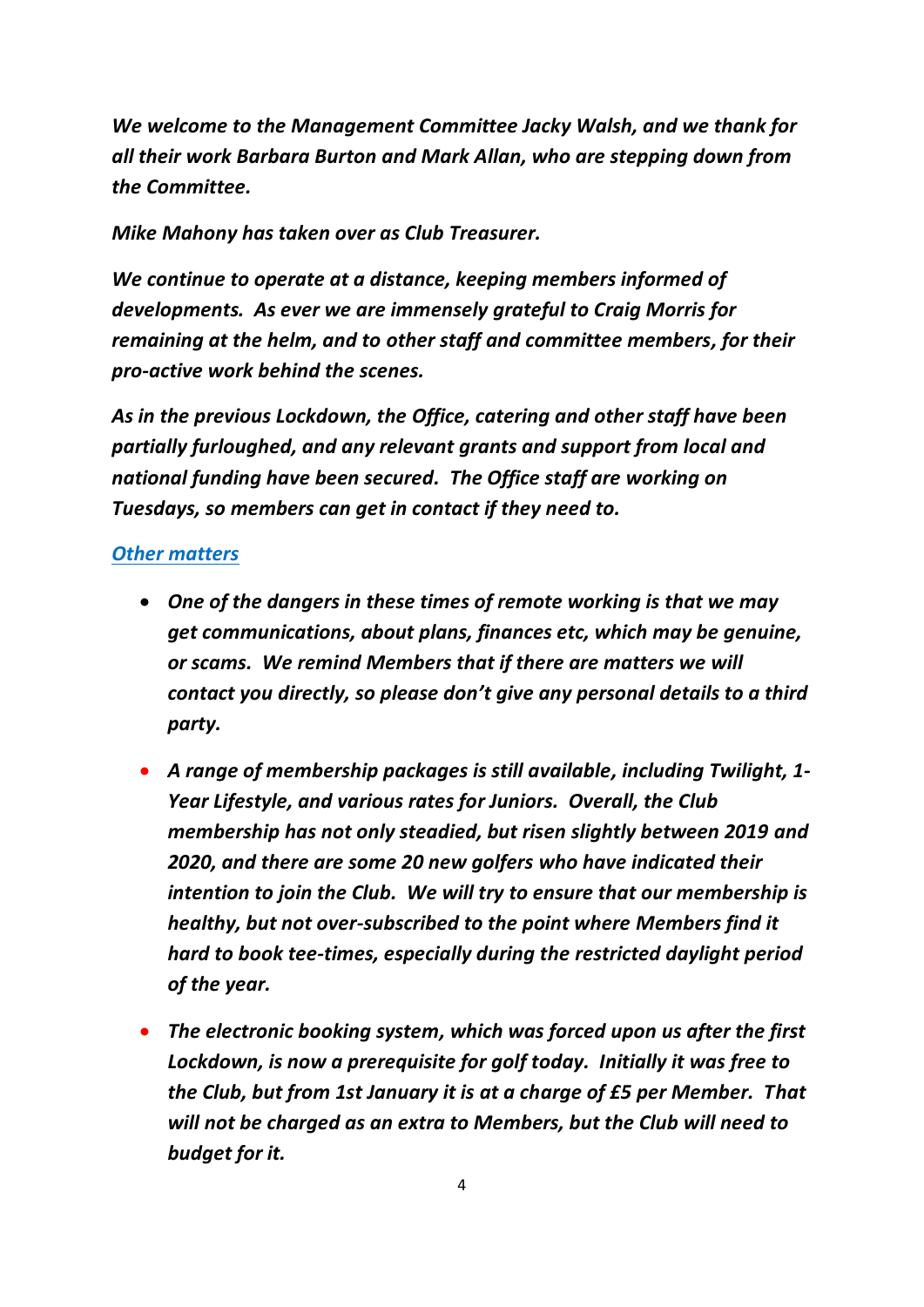*We welcome to the Management Committee Jacky Walsh, and we thank for all their work Barbara Burton and Mark Allan, who are stepping down from the Committee.*

*Mike Mahony has taken over as Club Treasurer.*

*We continue to operate at a distance, keeping members informed of developments. As ever we are immensely grateful to Craig Morris for remaining at the helm, and to other staff and committee members, for their pro-active work behind the scenes.*

*As in the previous Lockdown, the Office, catering and other staff have been partially furloughed, and any relevant grants and support from local and national funding have been secured. The Office staff are working on Tuesdays, so members can get in contact if they need to.*

### *Other matters*

- *One of the dangers in these times of remote working is that we may get communications, about plans, finances etc, which may be genuine, or scams. We remind Members that if there are matters we will contact you directly, so please don't give any personal details to a third party.*
- *A range of membership packages is still available, including Twilight, 1- Year Lifestyle, and various rates for Juniors. Overall, the Club membership has not only steadied, but risen slightly between 2019 and 2020, and there are some 20 new golfers who have indicated their intention to join the Club. We will try to ensure that our membership is healthy, but not over-subscribed to the point where Members find it hard to book tee-times, especially during the restricted daylight period of the year.*
- *The electronic booking system, which was forced upon us after the first Lockdown, is now a prerequisite for golf today. Initially it was free to the Club, but from 1st January it is at a charge of £5 per Member. That will not be charged as an extra to Members, but the Club will need to budget for it.*